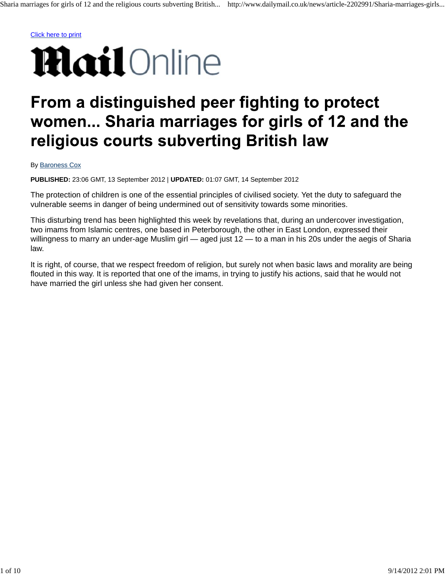## From a distinguished peer fighting to protect women... Sharia marriages for girls of 12 and the religious courts subverting British law

## By Baroness Cox

**PUBLISHED:** 23:06 GMT, 13 September 2012 | **UPDATED:** 01:07 GMT, 14 September 2012

The protection of children is one of the essential principles of civilised society. Yet the duty to safeguard the vulnerable seems in danger of being undermined out of sensitivity towards some minorities.

This disturbing trend has been highlighted this week by revelations that, during an undercover investigation, two imams from Islamic centres, one based in Peterborough, the other in East London, expressed their willingness to marry an under-age Muslim girl — aged just 12 — to a man in his 20s under the aegis of Sharia law.

It is right, of course, that we respect freedom of religion, but surely not when basic laws and morality are being flouted in this way. It is reported that one of the imams, in trying to justify his actions, said that he would not have married the girl unless she had given her consent.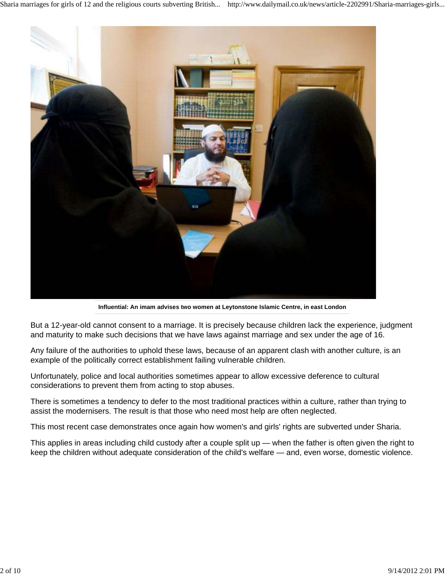

**Influential: An imam advises two women at Leytonstone Islamic Centre, in east London**

But a 12-year-old cannot consent to a marriage. It is precisely because children lack the experience, judgment and maturity to make such decisions that we have laws against marriage and sex under the age of 16.

Any failure of the authorities to uphold these laws, because of an apparent clash with another culture, is an example of the politically correct establishment failing vulnerable children.

Unfortunately, police and local authorities sometimes appear to allow excessive deference to cultural considerations to prevent them from acting to stop abuses.

There is sometimes a tendency to defer to the most traditional practices within a culture, rather than trying to assist the modernisers. The result is that those who need most help are often neglected.

This most recent case demonstrates once again how women's and girls' rights are subverted under Sharia.

This applies in areas including child custody after a couple split up — when the father is often given the right to keep the children without adequate consideration of the child's welfare — and, even worse, domestic violence.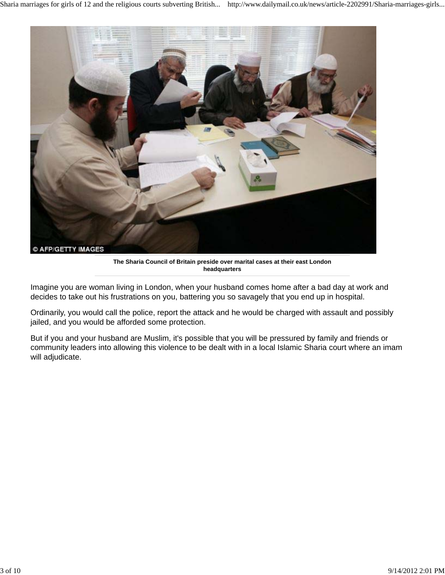

**The Sharia Council of Britain preside over marital cases at their east London headquarters**

Imagine you are woman living in London, when your husband comes home after a bad day at work and decides to take out his frustrations on you, battering you so savagely that you end up in hospital.

Ordinarily, you would call the police, report the attack and he would be charged with assault and possibly jailed, and you would be afforded some protection.

But if you and your husband are Muslim, it's possible that you will be pressured by family and friends or community leaders into allowing this violence to be dealt with in a local Islamic Sharia court where an imam will adjudicate.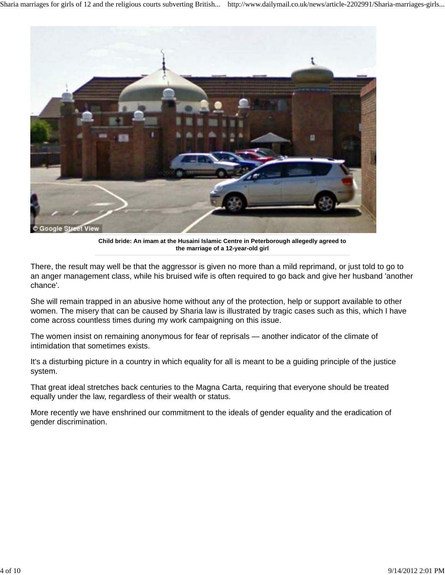

**Child bride: An imam at the Husaini Islamic Centre in Peterborough allegedly agreed to the marriage of a 12-year-old girl**

There, the result may well be that the aggressor is given no more than a mild reprimand, or just told to go to an anger management class, while his bruised wife is often required to go back and give her husband 'another chance'.

She will remain trapped in an abusive home without any of the protection, help or support available to other women. The misery that can be caused by Sharia law is illustrated by tragic cases such as this, which I have come across countless times during my work campaigning on this issue.

The women insist on remaining anonymous for fear of reprisals — another indicator of the climate of intimidation that sometimes exists.

It's a disturbing picture in a country in which equality for all is meant to be a guiding principle of the justice system.

That great ideal stretches back centuries to the Magna Carta, requiring that everyone should be treated equally under the law, regardless of their wealth or status.

More recently we have enshrined our commitment to the ideals of gender equality and the eradication of gender discrimination.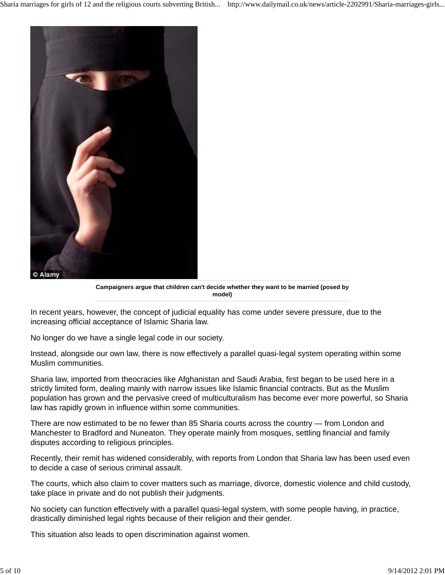

**Campaigners argue that children can't decide whether they want to be married (posed by model)**

In recent years, however, the concept of judicial equality has come under severe pressure, due to the increasing official acceptance of Islamic Sharia law.

No longer do we have a single legal code in our society.

Instead, alongside our own law, there is now effectively a parallel quasi-legal system operating within some Muslim communities.

Sharia law, imported from theocracies like Afghanistan and Saudi Arabia, first began to be used here in a strictly limited form, dealing mainly with narrow issues like Islamic financial contracts. But as the Muslim population has grown and the pervasive creed of multiculturalism has become ever more powerful, so Sharia law has rapidly grown in influence within some communities.

There are now estimated to be no fewer than 85 Sharia courts across the country — from London and Manchester to Bradford and Nuneaton. They operate mainly from mosques, settling financial and family disputes according to religious principles.

Recently, their remit has widened considerably, with reports from London that Sharia law has been used even to decide a case of serious criminal assault.

The courts, which also claim to cover matters such as marriage, divorce, domestic violence and child custody, take place in private and do not publish their judgments.

No society can function effectively with a parallel quasi-legal system, with some people having, in practice, drastically diminished legal rights because of their religion and their gender.

This situation also leads to open discrimination against women.